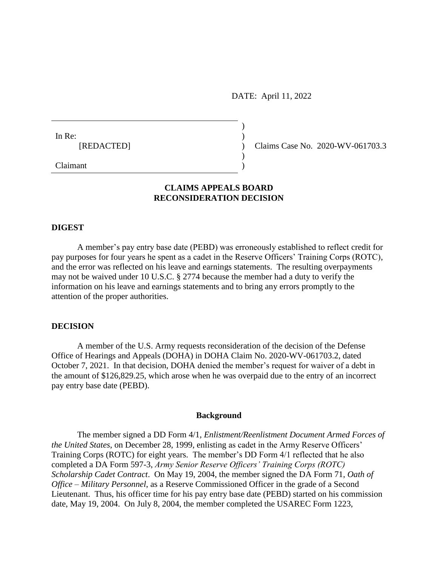DATE: April 11, 2022

)

| In Re:     |  |
|------------|--|
| [REDACTED] |  |
|            |  |

(Claims Case No. 2020-WV-061703.3)

Claimant )

# **CLAIMS APPEALS BOARD RECONSIDERATION DECISION**

### **DIGEST**

A member's pay entry base date (PEBD) was erroneously established to reflect credit for pay purposes for four years he spent as a cadet in the Reserve Officers' Training Corps (ROTC), and the error was reflected on his leave and earnings statements. The resulting overpayments may not be waived under [10 U.S.C. § 2774](http://www.westlaw.com/Link/Document/FullText?findType=L&pubNum=1000546&cite=10USCAS2774&originatingDoc=Iafd132b1d3d111db8177e57198b88e43&refType=LQ&originationContext=document&vr=3.0&rs=cblt1.0&transitionType=DocumentItem&contextData=(sc.Search)) because the member had a duty to verify the information on his leave and earnings statements and to bring any errors promptly to the attention of the proper authorities.

## **DECISION**

A member of the U.S. Army requests reconsideration of the decision of the Defense Office of Hearings and Appeals (DOHA) in DOHA Claim No. 2020-WV-061703.2, dated October 7, 2021. In that decision, DOHA denied the member's request for waiver of a debt in the amount of \$[126,829.25,](https://126,829.25) which arose when he was overpaid due to the entry of an incorrect pay entry base date (PEBD).

#### **Background**

The member signed a DD Form 4/1*, Enlistment/Reenlistment Document Armed Forces of the United States*, on December 28, 1999, enlisting as cadet in the Army Reserve Officers' Training Corps (ROTC) for eight years. The member's DD Form 4/1 reflected that he also completed a DA Form 597-3, *Army Senior Reserve Officers' Training Corps (ROTC) Scholarship Cadet Contract*. On May 19, 2004, the member signed the DA Form 71, *Oath of Office – Military Personnel*, as a Reserve Commissioned Officer in the grade of a Second Lieutenant. Thus, his officer time for his pay entry base date (PEBD) started on his commission date, May 19, 2004. On July 8, 2004, the member completed the USAREC Form 1223,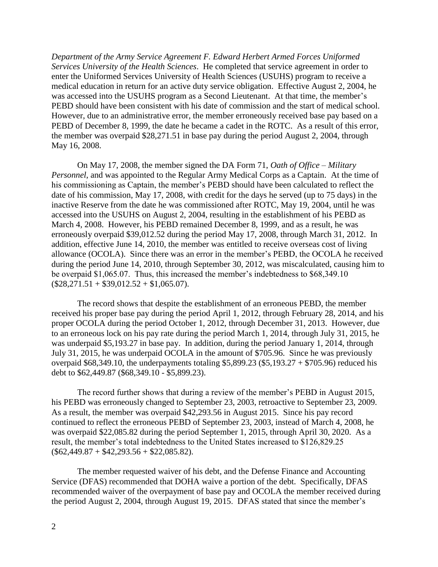*Department of the Army Service Agreement F. Edward Herbert Armed Forces Uniformed Services University of the Health Sciences*. He completed that service agreement in order to enter the Uniformed Services University of Health Sciences (USUHS) program to receive a medical education in return for an active duty service obligation. Effective August 2, 2004, he was accessed into the USUHS program as a Second Lieutenant. At that time, the member's PEBD should have been consistent with his date of commission and the start of medical school. However, due to an administrative error, the member erroneously received base pay based on a PEBD of December 8, 1999, the date he became a cadet in the ROTC. As a result of this error, the member was overpaid \$[28,271.51](https://28,271.51) in base pay during the period August 2, 2004, through May 16, 2008.

On May 17, 2008, the member signed the DA Form 71, *Oath of Office – Military Personnel*, and was appointed to the Regular Army Medical Corps as a Captain. At the time of his commissioning as Captain, the member's PEBD should have been calculated to reflect the date of his commission, May 17, 2008, with credit for the days he served (up to 75 days) in the inactive Reserve from the date he was commissioned after ROTC, May 19, 2004, until he was accessed into the USUHS on August 2, 2004, resulting in the establishment of his PEBD as March 4, 2008. However, his PEBD remained December 8, 1999, and as a result, he was erroneously overpaid \$[39,012.52](https://39,012.52) during the period May 17, 2008, through March 31, 2012. In addition, effective June 14, 2010, the member was entitled to receive overseas cost of living allowance (OCOLA). Since there was an error in the member's PEBD, the OCOLA he received during the period June 14, 2010, through September 30, 2012, was miscalculated, causing him to be overpaid [\\$1,065.07](https://1,065.07). Thus, this increased the member's indebtedness to \$[68,349.10](https://68,349.10)   $($28,271.51 + $39,012.52 + $1,065.07).$  $($28,271.51 + $39,012.52 + $1,065.07).$  $($28,271.51 + $39,012.52 + $1,065.07).$  $($28,271.51 + $39,012.52 + $1,065.07).$  $($28,271.51 + $39,012.52 + $1,065.07).$  $($28,271.51 + $39,012.52 + $1,065.07).$  $($28,271.51 + $39,012.52 + $1,065.07).$ 

The record shows that despite the establishment of an erroneous PEBD, the member received his proper base pay during the period April 1, 2012, through February 28, 2014, and his proper OCOLA during the period October 1, 2012, through December 31, 2013. However, due to an erroneous lock on his pay rate during the period March 1, 2014, through July 31, 2015, he was underpaid \$[5,193.27](https://5,193.27) in base pay. In addition, during the period January 1, 2014, through July 31, 2015, he was underpaid OCOLA in the amount of \$705.96. Since he was previously overpaid  $$68,349.10$ , the underpayments totaling  $$5,899.23$  (\$[5,193.27](https://5,193.27) + \$705.96) reduced his debt to [\\$62,449.87](https://62,449.87) (\$[68,349.10](https://68,349.10) - \$[5,899.23\)](https://5,899.23).

The record further shows that during a review of the member's PEBD in August 2015, his PEBD was erroneously changed to September 23, 2003, retroactive to September 23, 2009. As a result, the member was overpaid \$[42,293.56](https://42,293.56) in August 2015. Since his pay record continued to reflect the erroneous PEBD of September 23, 2003, instead of March 4, 2008, he was overpaid \$[22,085.82](https://22,085.82) during the period September 1, 2015, through April 30, 2020. As a result, the member's total indebtedness to the United States increased to [\\$126,829.25](https://126,829.25)  $(\$62,449.87 + \$42,293.56 + \$22,085.82).$  $(\$62,449.87 + \$42,293.56 + \$22,085.82).$  $(\$62,449.87 + \$42,293.56 + \$22,085.82).$  $(\$62,449.87 + \$42,293.56 + \$22,085.82).$  $(\$62,449.87 + \$42,293.56 + \$22,085.82).$  $(\$62,449.87 + \$42,293.56 + \$22,085.82).$  $(\$62,449.87 + \$42,293.56 + \$22,085.82).$ 

The member requested waiver of his debt, and the Defense Finance and Accounting Service (DFAS) recommended that DOHA waive a portion of the debt. Specifically, DFAS recommended waiver of the overpayment of base pay and OCOLA the member received during the period August 2, 2004, through August 19, 2015. DFAS stated that since the member's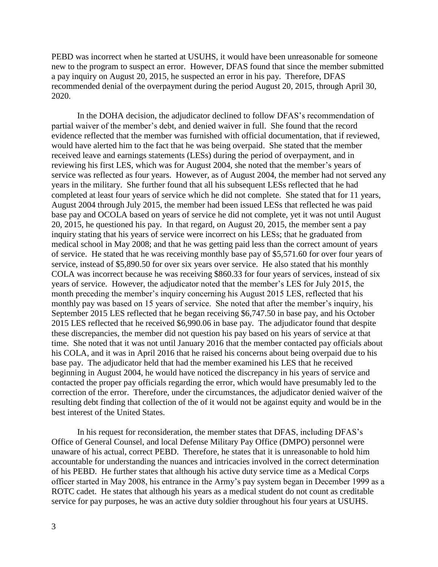PEBD was incorrect when he started at USUHS, it would have been unreasonable for someone new to the program to suspect an error. However, DFAS found that since the member submitted a pay inquiry on August 20, 2015, he suspected an error in his pay. Therefore, DFAS recommended denial of the overpayment during the period August 20, 2015, through April 30, 2020.

In the DOHA decision, the adjudicator declined to follow DFAS's recommendation of partial waiver of the member's debt, and denied waiver in full. She found that the record evidence reflected that the member was furnished with official documentation, that if reviewed, would have alerted him to the fact that he was being overpaid. She stated that the member received leave and earnings statements (LESs) during the period of overpayment, and in reviewing his first LES, which was for August 2004, she noted that the member's years of service was reflected as four years. However, as of August 2004, the member had not served any years in the military. She further found that all his subsequent LESs reflected that he had completed at least four years of service which he did not complete. She stated that for 11 years, August 2004 through July 2015, the member had been issued LESs that reflected he was paid base pay and OCOLA based on years of service he did not complete, yet it was not until August 20, 2015, he questioned his pay. In that regard, on August 20, 2015, the member sent a pay inquiry stating that his years of service were incorrect on his LESs; that he graduated from medical school in May 2008; and that he was getting paid less than the correct amount of years of service. He stated that he was receiving monthly base pay of [\\$5,571.60](https://5,571.60) for over four years of service, instead of \$[5,890.50](https://5,890.50) for over six years over service. He also stated that his monthly COLA was incorrect because he was receiving \$860.33 for four years of services, instead of six years of service. However, the adjudicator noted that the member's LES for July 2015, the month preceding the member's inquiry concerning his August 2015 LES, reflected that his monthly pay was based on 15 years of service. She noted that after the member's inquiry, his September 2015 LES reflected that he began receiving [\\$6,747.50](https://6,747.50) in base pay, and his October 2015 LES reflected that he received [\\$6,990.06](https://6,990.06) in base pay. The adjudicator found that despite these discrepancies, the member did not question his pay based on his years of service at that time. She noted that it was not until January 2016 that the member contacted pay officials about his COLA, and it was in April 2016 that he raised his concerns about being overpaid due to his base pay. The adjudicator held that had the member examined his LES that he received beginning in August 2004, he would have noticed the discrepancy in his years of service and contacted the proper pay officials regarding the error, which would have presumably led to the correction of the error. Therefore, under the circumstances, the adjudicator denied waiver of the resulting debt finding that collection of the of it would not be against equity and would be in the best interest of the United States.

In his request for reconsideration, the member states that DFAS, including DFAS's Office of General Counsel, and local Defense Military Pay Office (DMPO) personnel were unaware of his actual, correct PEBD. Therefore, he states that it is unreasonable to hold him accountable for understanding the nuances and intricacies involved in the correct determination of his PEBD. He further states that although his active duty service time as a Medical Corps officer started in May 2008, his entrance in the Army's pay system began in December 1999 as a ROTC cadet. He states that although his years as a medical student do not count as creditable service for pay purposes, he was an active duty soldier throughout his four years at USUHS.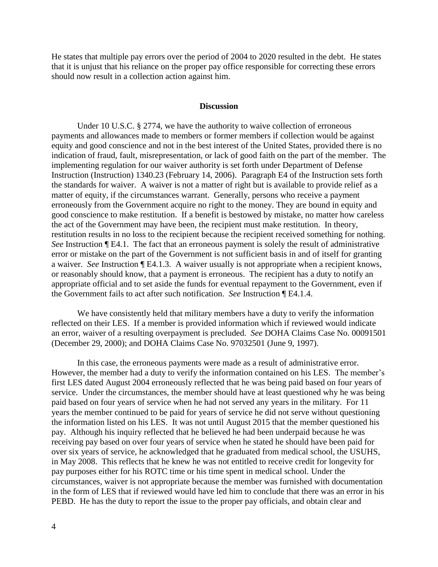He states that multiple pay errors over the period of 2004 to 2020 resulted in the debt. He states that it is unjust that his reliance on the proper pay office responsible for correcting these errors should now result in a collection action against him.

### **Discussion**

Under [10 U.S.C. § 2774,](http://www.westlaw.com/Link/Document/FullText?findType=L&pubNum=1000546&cite=5USCAS5584&originatingDoc=Id51777f45b3411e598dc8b09b4f043e0&refType=LQ&originationContext=document&vr=3.0&rs=cblt1.0&transitionType=DocumentItem&contextData=(sc.Search)) we have the authority to waive collection of erroneous payments and allowances made to members or former members if collection would be against equity and good conscience and not in the best interest of the United States, provided there is no indication of fraud, fault, misrepresentation, or lack of good faith on the part of the member. The implementing regulation for our waiver authority is set forth under Department of Defense Instruction (Instruction) 1340.23 (February 14, 2006). Paragraph E4 of the Instruction sets forth the standards for waiver. A waiver is not a matter of right but is available to provide relief as a matter of equity, if the circumstances warrant. Generally, persons who receive a payment erroneously from the Government acquire no right to the money. They are bound in equity and good conscience to make restitution. If a benefit is bestowed by mistake, no matter how careless the act of the Government may have been, the recipient must make restitution. In theory, restitution results in no loss to the recipient because the recipient received something for nothing. *See* Instruction ¶ E4.1. The fact that an erroneous payment is solely the result of administrative error or mistake on the part of the Government is not sufficient basis in and of itself for granting a waiver. *See* Instruction ¶ E4.1.3. A waiver usually is not appropriate when a recipient knows, or reasonably should know, that a payment is erroneous. The recipient has a duty to notify an appropriate official and to set aside the funds for eventual repayment to the Government, even if the Government fails to act after such notification. *See* Instruction ¶ E4.1.4.

We have consistently held that military members have a duty to verify the information reflected on their LES. If a member is provided information which if reviewed would indicate an error, waiver of a resulting overpayment is precluded. *See* DOHA Claims Case No. 00091501 (December 29, 2000); and DOHA Claims Case No. 97032501 (June 9, 1997).

In this case, the erroneous payments were made as a result of administrative error. However, the member had a duty to verify the information contained on his LES. The member's first LES dated August 2004 erroneously reflected that he was being paid based on four years of service. Under the circumstances, the member should have at least questioned why he was being paid based on four years of service when he had not served any years in the military. For 11 years the member continued to be paid for years of service he did not serve without questioning the information listed on his LES. It was not until August 2015 that the member questioned his pay. Although his inquiry reflected that he believed he had been underpaid because he was receiving pay based on over four years of service when he stated he should have been paid for over six years of service, he acknowledged that he graduated from medical school, the USUHS, in May 2008. This reflects that he knew he was not entitled to receive credit for longevity for pay purposes either for his ROTC time or his time spent in medical school. Under the circumstances, waiver is not appropriate because the member was furnished with documentation in the form of LES that if reviewed would have led him to conclude that there was an error in his PEBD. He has the duty to report the issue to the proper pay officials, and obtain clear and